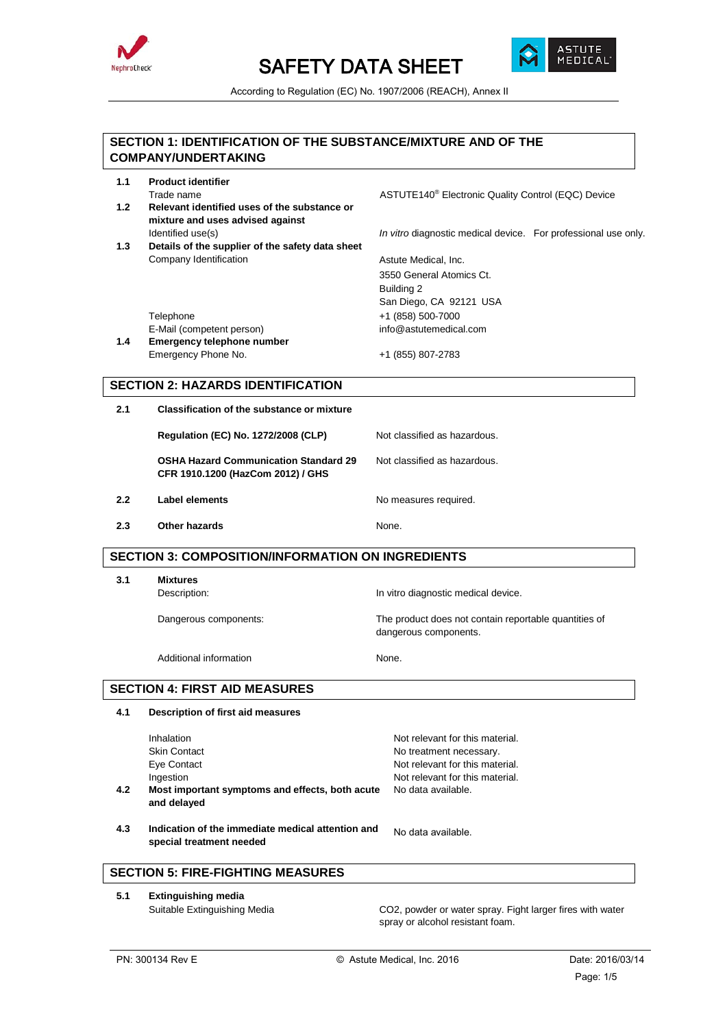



According to Regulation (EC) No. 1907/2006 (REACH), Annex II

|     | SECTION 1: IDENTIFICATION OF THE SUBSTANCE/MIXTURE AND OF THE<br><b>COMPANY/UNDERTAKING</b> |                                                                                               |
|-----|---------------------------------------------------------------------------------------------|-----------------------------------------------------------------------------------------------|
| 1.1 | <b>Product identifier</b>                                                                   |                                                                                               |
|     | Trade name                                                                                  | ASTUTE140 <sup>®</sup> Electronic Quality Control (EQC) Device                                |
| 1.2 | Relevant identified uses of the substance or                                                |                                                                                               |
|     | mixture and uses advised against<br>Identified use(s)                                       | In vitro diagnostic medical device. For professional use only.                                |
| 1.3 | Details of the supplier of the safety data sheet                                            |                                                                                               |
|     | Company Identification                                                                      | Astute Medical, Inc.                                                                          |
|     |                                                                                             | 3550 General Atomics Ct.                                                                      |
|     |                                                                                             | Building 2                                                                                    |
|     | Telephone                                                                                   | San Diego, CA 92121 USA<br>+1 (858) 500-7000                                                  |
|     | E-Mail (competent person)                                                                   | info@astutemedical.com                                                                        |
| 1.4 | <b>Emergency telephone number</b>                                                           |                                                                                               |
|     | Emergency Phone No.                                                                         | +1 (855) 807-2783                                                                             |
|     | <b>SECTION 2: HAZARDS IDENTIFICATION</b>                                                    |                                                                                               |
| 2.1 | Classification of the substance or mixture                                                  |                                                                                               |
|     | <b>Regulation (EC) No. 1272/2008 (CLP)</b>                                                  | Not classified as hazardous.                                                                  |
|     | <b>OSHA Hazard Communication Standard 29</b><br>CFR 1910.1200 (HazCom 2012) / GHS           | Not classified as hazardous.                                                                  |
| 2.2 | <b>Label elements</b>                                                                       | No measures required.                                                                         |
| 2.3 | Other hazards                                                                               | None.                                                                                         |
|     | <b>SECTION 3: COMPOSITION/INFORMATION ON INGREDIENTS</b>                                    |                                                                                               |
| 3.1 | <b>Mixtures</b>                                                                             |                                                                                               |
|     | Description:                                                                                | In vitro diagnostic medical device.                                                           |
|     |                                                                                             |                                                                                               |
|     | Dangerous components:                                                                       | The product does not contain reportable quantities of<br>dangerous components.                |
|     | Additional information                                                                      | None.                                                                                         |
|     | <b>SECTION 4: FIRST AID MEASURES</b>                                                        |                                                                                               |
| 4.1 | Description of first aid measures                                                           |                                                                                               |
|     |                                                                                             |                                                                                               |
|     | Inhalation<br><b>Skin Contact</b>                                                           | Not relevant for this material.                                                               |
|     | Eye Contact                                                                                 | No treatment necessary.<br>Not relevant for this material.                                    |
|     | Ingestion                                                                                   | Not relevant for this material.                                                               |
| 4.2 | Most important symptoms and effects, both acute<br>and delayed                              | No data available.                                                                            |
| 4.3 | Indication of the immediate medical attention and<br>special treatment needed               | No data available.                                                                            |
|     | <b>SECTION 5: FIRE-FIGHTING MEASURES</b>                                                    |                                                                                               |
| 5.1 | <b>Extinguishing media</b>                                                                  |                                                                                               |
|     | Suitable Extinguishing Media                                                                | CO2, powder or water spray. Fight larger fires with water<br>spray or alcohol resistant foam. |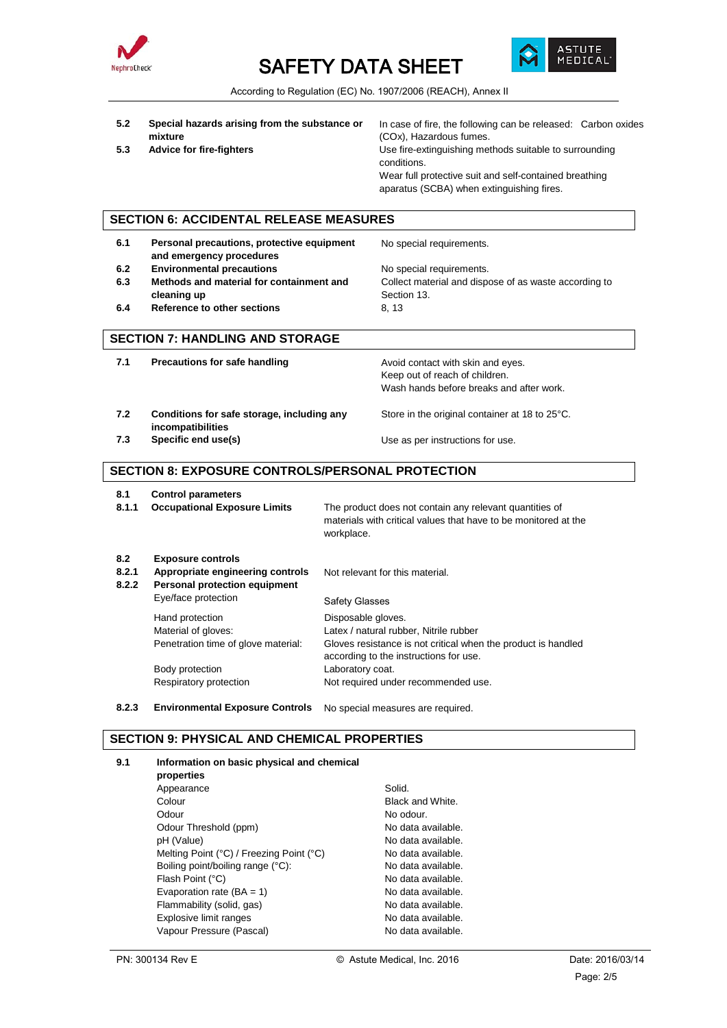



According to Regulation (EC) No. 1907/2006 (REACH), Annex II

- **5.2 Special hazards arising from the substance or mixture**
- 

In case of fire, the following can be released: Carbon oxides (COx), Hazardous fumes. **5.3 Advice for fire-fighters If the summan vertice of the Use fire-extinguishing methods suitable to surrounding** conditions. Wear full protective suit and self-contained breathing aparatus (SCBA) when extinguishing fires.

## **SECTION 6: ACCIDENTAL RELEASE MEASURES**

- **6.1 Personal precautions, protective equipment and emergency procedures** No special requirements. **6.2 Environmental precautions No special requirements. 6.3 Methods and material for containment and cleaning up** Collect material and dispose of as waste according to Section 13. **6.4 Reference to other sections** 8, 13 **SECTION 7: HANDLING AND STORAGE 7.1 Precautions for safe handling The State Avoid contact with skin and eyes.** Keep out of reach of children.
- **7.2 Conditions for safe storage, including any incompatibilities** Store in the original container at 18 to 25°C. **7.3 Specific end use(s)** Use as per instructions for use.

## **SECTION 8: EXPOSURE CONTROLS/PERSONAL PROTECTION**

**8.1 Control parameters**

**8.1.1 Occupational Exposure Limits** The product does not contain any relevant quantities of materials with critical values that have to be monitored at the workplace.

Wash hands before breaks and after work.

| 8.2<br>8.2.1<br>8.2.2 | <b>Exposure controls</b><br>Appropriate engineering controls<br>Personal protection equipment | Not relevant for this material.                                                                         |  |
|-----------------------|-----------------------------------------------------------------------------------------------|---------------------------------------------------------------------------------------------------------|--|
|                       | Eye/face protection                                                                           | Safety Glasses                                                                                          |  |
|                       | Hand protection                                                                               | Disposable gloves.                                                                                      |  |
|                       | Material of gloves:                                                                           | Latex / natural rubber, Nitrile rubber                                                                  |  |
|                       | Penetration time of glove material:                                                           | Gloves resistance is not critical when the product is handled<br>according to the instructions for use. |  |
|                       | Body protection                                                                               | Laboratory coat.                                                                                        |  |
|                       | Respiratory protection                                                                        | Not required under recommended use.                                                                     |  |

**8.2.3 Environmental Exposure Controls** No special measures are required.

## **SECTION 9: PHYSICAL AND CHEMICAL PROPERTIES**

#### **9.1 Information on basic physical and chemical**

**properties** Appearance Solid. **Colour** Black and White. Odour **No. 1999** No. 000 No. 000 No. 000 No. 000 No. 000 No. 000 No. 000 No. 000 No. 000 No. 000 No. 000 No. 000 No. 000 No. 000 No. 000 No. 000 No. 000 No. 000 No. 000 No. 000 No. 000 No. 000 No. 000 No. 000 No. 000 No. 0 Odour Threshold (ppm) No data available. pH (Value) and the contract of the No data available. Melting Point (°C) / Freezing Point (°C) No data available. Boiling point/boiling range (°C): No data available. Flash Point (°C) and the contract of the No data available. Evaporation rate  $(BA = 1)$  No data available. Flammability (solid, gas) No data available. Explosive limit ranges No data available. Vapour Pressure (Pascal) Vapour Pressure (Pascal)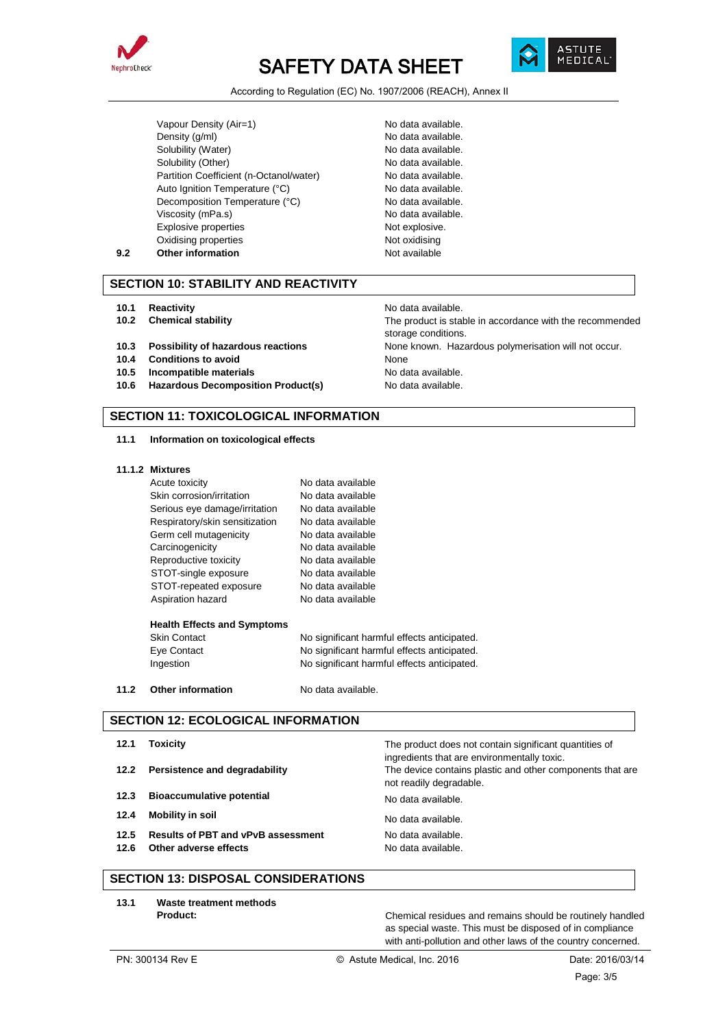



According to Regulation (EC) No. 1907/2006 (REACH), Annex II

Vapour Density (Air=1) No data available. Density (g/ml) No data available. Solubility (Water) No data available. Solubility (Other) No data available. Partition Coefficient (n-Octanol/water) No data available. Auto Ignition Temperature (°C) No data available. Decomposition Temperature (°C) No data available. Viscosity (mPa.s) No data available. Explosive properties Not explosive. Oxidising properties Not oxidising **9.2 Other information Not available** 

storage conditions.

## **SECTION 10: STABILITY AND REACTIVITY**

- **10.1 Reactivity 10.1 Reactivity 10.1 Reactivity**
- **10.2 Chemical stability** The product is stable in accordance with the recommended
- **10.3 Possibility of hazardous reactions** None known. Hazardous polymerisation will not occur.
- **10.4 Conditions to avoid Conditions of the Conditions of the Conditions of the Conditions of the Conditions of No<br>
<b>10.5 Incompatible materials** Conditions of No. da
- **Incompatible materials** No data available.
- **10.6 Hazardous Decomposition Product(s)** No data available.

## **SECTION 11: TOXICOLOGICAL INFORMATION**

#### **11.1 Information on toxicological effects**

#### **11.1.2 Mixtures**

|      | Acute toxicity                     | No data available                           |
|------|------------------------------------|---------------------------------------------|
|      | Skin corrosion/irritation          | No data available                           |
|      | Serious eye damage/irritation      | No data available                           |
|      | Respiratory/skin sensitization     | No data available                           |
|      | Germ cell mutagenicity             | No data available                           |
|      | Carcinogenicity                    | No data available                           |
|      | Reproductive toxicity              | No data available                           |
|      | STOT-single exposure               | No data available                           |
|      | STOT-repeated exposure             | No data available                           |
|      | Aspiration hazard                  | No data available                           |
|      | <b>Health Effects and Symptoms</b> |                                             |
|      | <b>Skin Contact</b>                | No significant harmful effects anticipated. |
|      | Eye Contact                        | No significant harmful effects anticipated. |
|      | Ingestion                          | No significant harmful effects anticipated. |
| 11.2 | <b>Other information</b>           | No data available.                          |

#### **SECTION 12: ECOLOGICAL INFORMATION**

| 12.1 | Toxicity                                  | The product does not contain significant quantities of<br>ingredients that are environmentally toxic. |
|------|-------------------------------------------|-------------------------------------------------------------------------------------------------------|
| 12.2 | Persistence and degradability             | The device contains plastic and other components that are<br>not readily degradable.                  |
| 12.3 | <b>Bioaccumulative potential</b>          | No data available.                                                                                    |
| 12.4 | <b>Mobility in soil</b>                   | No data available.                                                                                    |
| 12.5 | <b>Results of PBT and vPvB assessment</b> | No data available.                                                                                    |
| 12.6 | Other adverse effects                     | No data available.                                                                                    |
|      |                                           |                                                                                                       |

# **SECTION 13: DISPOSAL CONSIDERATIONS**

**13.1 Waste treatment methods**

Chemical residues and remains should be routinely handled as special waste. This must be disposed of in compliance with anti-pollution and other laws of the country concerned.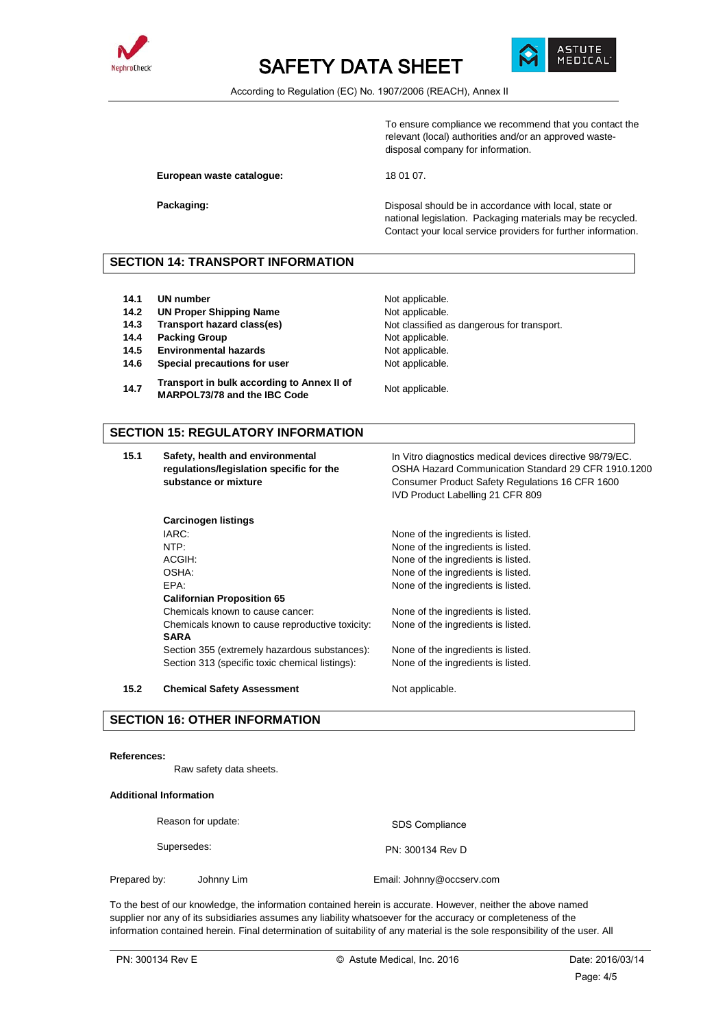



According to Regulation (EC) No. 1907/2006 (REACH), Annex II

To ensure compliance we recommend that you contact the relevant (local) authorities and/or an approved wastedisposal company for information.

European waste catalogue: 18 01 07.

**Packaging: Packaging: Packaging: Disposal should be in accordance with local, state or** national legislation. Packaging materials may be recycled. Contact your local service providers for further information.

## **SECTION 14: TRANSPORT INFORMATION**

- **14.1 UN number** Not applicable.
- **14.2 UN Proper Shipping Name** Not applicable.
- 
- **14.4 Packing Group Not applicable.** Not applicable.
- **14.5 Environmental hazards Not applicable.**
- **14.6 Special precautions for user** Not applicable.

**Carcinogen listings**

**14.7 Transport in bulk according to Annex II of MARPOL73/78 and the IBC Code** Not applicable.

**14.3 Transport hazard class(es)** Not classified as dangerous for transport.

### **SECTION 15: REGULATORY INFORMATION**

**15.1 Safety, health and environmental regulations/legislation specific for the substance or mixture**

In Vitro diagnostics medical devices directive 98/79/EC. OSHA Hazard Communication Standard 29 CFR 1910.1200 Consumer Product Safety Regulations 16 CFR 1600 IVD Product Labelling 21 CFR 809

IARC: INCONSERVIATION IN THE INCONSERVIATION IN THE INCONSERVIATION IN THE INCONSERVIATION IN THE INCONSERVIATION IN THE INCONSERVIATION IN THE INCONSERVIATION IN THE INCONSERVIATION IN THE INCONSERVIATION IN THE INCONSERV None of the ingredients is listed. ACGIH:  $\blacksquare$  None of the ingredients is listed. OSHA: None of the ingredients is listed. EPA: None of the ingredients is listed.

Chemicals known to cause cancer: None of the ingredients is listed. Chemicals known to cause reproductive toxicity: None of the ingredients is listed.

Section 355 (extremely hazardous substances): None of the ingredients is listed. Section 313 (specific toxic chemical listings): None of the ingredients is listed.

**15.2 Chemical Safety Assessment** Not applicable.

**Californian Proposition 65**

#### **SECTION 16: OTHER INFORMATION**

#### **References:**

Raw safety data sheets.

# **Additional Information**

**SARA**

| Reason for update:<br>Supersedes: |            | <b>SDS Compliance</b>     |
|-----------------------------------|------------|---------------------------|
|                                   |            | PN: 300134 Rev D          |
| Prepared by:                      | Johnny Lim | Email: Johnny@occserv.com |

To the best of our knowledge, the information contained herein is accurate. However, neither the above named supplier nor any of its subsidiaries assumes any liability whatsoever for the accuracy or completeness of the information contained herein. Final determination of suitability of any material is the sole responsibility of the user. All